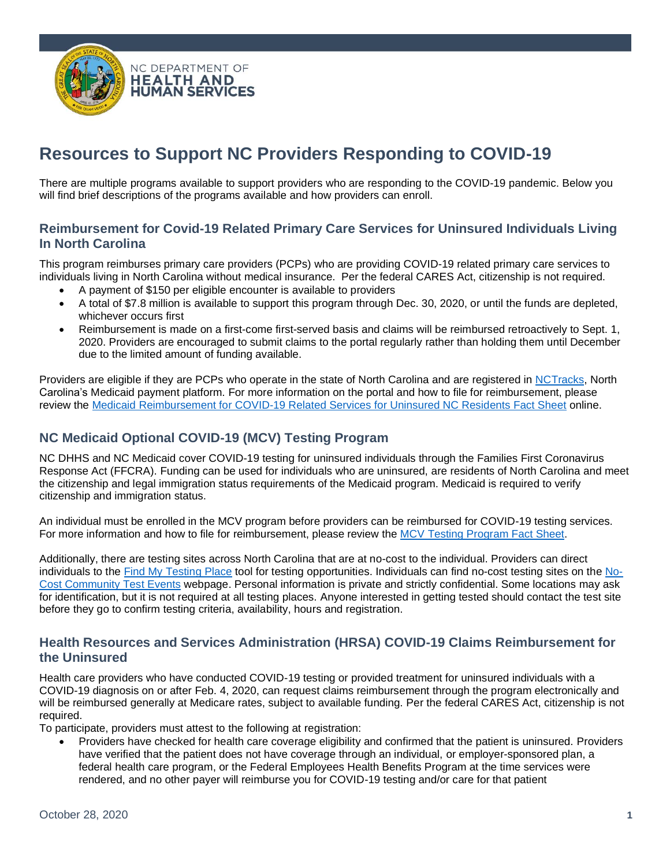

# **Resources to Support NC Providers Responding to COVID-19**

There are multiple programs available to support providers who are responding to the COVID-19 pandemic. Below you will find brief descriptions of the programs available and how providers can enroll.

## **Reimbursement for Covid-19 Related Primary Care Services for Uninsured Individuals Living In North Carolina**

This program reimburses primary care providers (PCPs) who are providing COVID-19 related primary care services to individuals living in North Carolina without medical insurance. Per the federal CARES Act, citizenship is not required.

- A payment of \$150 per eligible encounter is available to providers
- A total of \$7.8 million is available to support this program through Dec. 30, 2020, or until the funds are depleted, whichever occurs first
- Reimbursement is made on a first-come first-served basis and claims will be reimbursed retroactively to Sept. 1, 2020. Providers are encouraged to submit claims to the portal regularly rather than holding them until December due to the limited amount of funding available.

Providers are eligible if they are PCPs who operate in the state of North Carolina and are registered in [NCTracks,](https://www.nctracks.nc.gov/content/public?version=portal-jwap-trunk-10065-15243-production-VJ1&why=Root) North Carolina's Medicaid payment platform. For more information on the portal and how to file for reimbursement, please review the Medicaid Reimbursement for [COVID-19 Related Services for Uninsured NC Residents Fact Sheet](https://files.nc.gov/ncdma/Reimbursement-for-COVID-Related-Services-Fact-Sheet-FINAL-10.1.2020.pdf) online.

## **NC Medicaid Optional COVID-19 (MCV) Testing Program**

NC DHHS and NC Medicaid cover COVID-19 testing for uninsured individuals through the Families First Coronavirus Response Act (FFCRA). Funding can be used for individuals who are uninsured, are residents of North Carolina and meet the citizenship and legal immigration status requirements of the Medicaid program. Medicaid is required to verify citizenship and immigration status.

An individual must be enrolled in the MCV program before providers can be reimbursed for COVID-19 testing services. For more information and how to file for reimbursement, please review the [MCV Testing Program Fact Sheet.](https://files.nc.gov/ncdma/covid-19/MCV-FactSheet-20200901.pdf)

Additionally, there are testing sites across North Carolina that are at no-cost to the individual. Providers can direct individuals to the [Find My Testing Place](https://covid19.ncdhhs.gov/about-covid-19/testing/find-my-testing-place) tool for testing opportunities. Individuals can find no-cost testing sites on the [No-](https://covid19.ncdhhs.gov/about-covid-19/testing/find-my-testing-place/pop-testing-sites)[Cost Community Test Events](https://covid19.ncdhhs.gov/about-covid-19/testing/find-my-testing-place/pop-testing-sites) webpage. Personal information is private and strictly confidential. Some locations may ask for identification, but it is not required at all testing places. Anyone interested in getting tested should contact the test site before they go to confirm testing criteria, availability, hours and registration.

## **Health Resources and Services Administration (HRSA) COVID-19 Claims Reimbursement for the Uninsured**

Health care providers who have conducted COVID-19 testing or provided treatment for uninsured individuals with a COVID-19 diagnosis on or after Feb. 4, 2020, can request claims reimbursement through the program electronically and will be reimbursed generally at Medicare rates, subject to available funding. Per the federal CARES Act, citizenship is not required.

To participate, providers must attest to the following at registration:

• Providers have checked for health care coverage eligibility and confirmed that the patient is uninsured. Providers have verified that the patient does not have coverage through an individual, or employer-sponsored plan, a federal health care program, or the Federal Employees Health Benefits Program at the time services were rendered, and no other payer will reimburse you for COVID-19 testing and/or care for that patient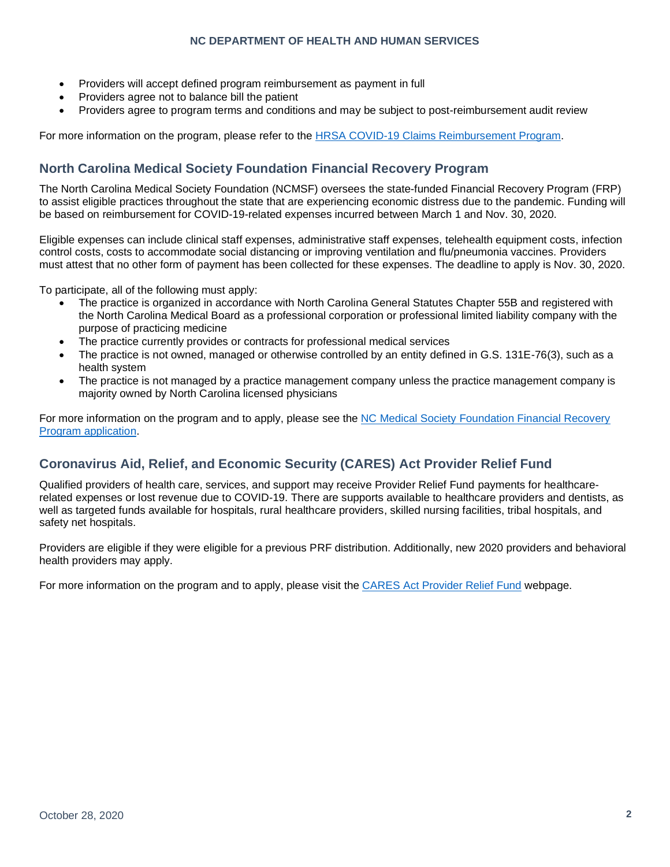#### **NC DEPARTMENT OF HEALTH AND HUMAN SERVICES**

- Providers will accept defined program reimbursement as payment in full
- Providers agree not to balance bill the patient
- Providers agree to program terms and conditions and may be subject to post-reimbursement audit review

For more information on the program, please refer to the [HRSA COVID-19 Claims Reimbursement Program.](https://www.hrsa.gov/coviduninsuredclaim)

## **North Carolina Medical Society Foundation Financial Recovery Program**

The North Carolina Medical Society Foundation (NCMSF) oversees the state-funded Financial Recovery Program (FRP) to assist eligible practices throughout the state that are experiencing economic distress due to the pandemic. Funding will be based on reimbursement for COVID-19-related expenses incurred between March 1 and Nov. 30, 2020.

Eligible expenses can include clinical staff expenses, administrative staff expenses, telehealth equipment costs, infection control costs, costs to accommodate social distancing or improving ventilation and flu/pneumonia vaccines. Providers must attest that no other form of payment has been collected for these expenses. The deadline to apply is Nov. 30, 2020.

To participate, all of the following must apply:

- The practice is organized in accordance with North Carolina General Statutes Chapter 55B and registered with the North Carolina Medical Board as a professional corporation or professional limited liability company with the purpose of practicing medicine
- The practice currently provides or contracts for professional medical services
- The practice is not owned, managed or otherwise controlled by an entity defined in G.S. 131E-76(3), such as a health system
- The practice is not managed by a practice management company unless the practice management company is majority owned by North Carolina licensed physicians

For more information on the program and to apply, please see the [NC Medical Society Foundation Financial Recovery](https://www.ncmedsoc.org/wp-content/uploads/2020/10/Financial-Recovery-Program-FRP-FAQ.pdf)  [Program application.](https://www.ncmedsoc.org/wp-content/uploads/2020/10/Financial-Recovery-Program-FRP-FAQ.pdf)

## **Coronavirus Aid, Relief, and Economic Security (CARES) Act Provider Relief Fund**

Qualified providers of health care, services, and support may receive Provider Relief Fund payments for healthcarerelated expenses or lost revenue due to COVID-19. There are supports available to healthcare providers and dentists, as well as targeted funds available for hospitals, rural healthcare providers, skilled nursing facilities, tribal hospitals, and safety net hospitals.

Providers are eligible if they were eligible for a previous PRF distribution. Additionally, new 2020 providers and behavioral health providers may apply.

For more information on the program and to apply, please visit the [CARES Act Provider Relief Fund](https://www.hhs.gov/coronavirus/cares-act-provider-relief-fund/index.html) webpage.